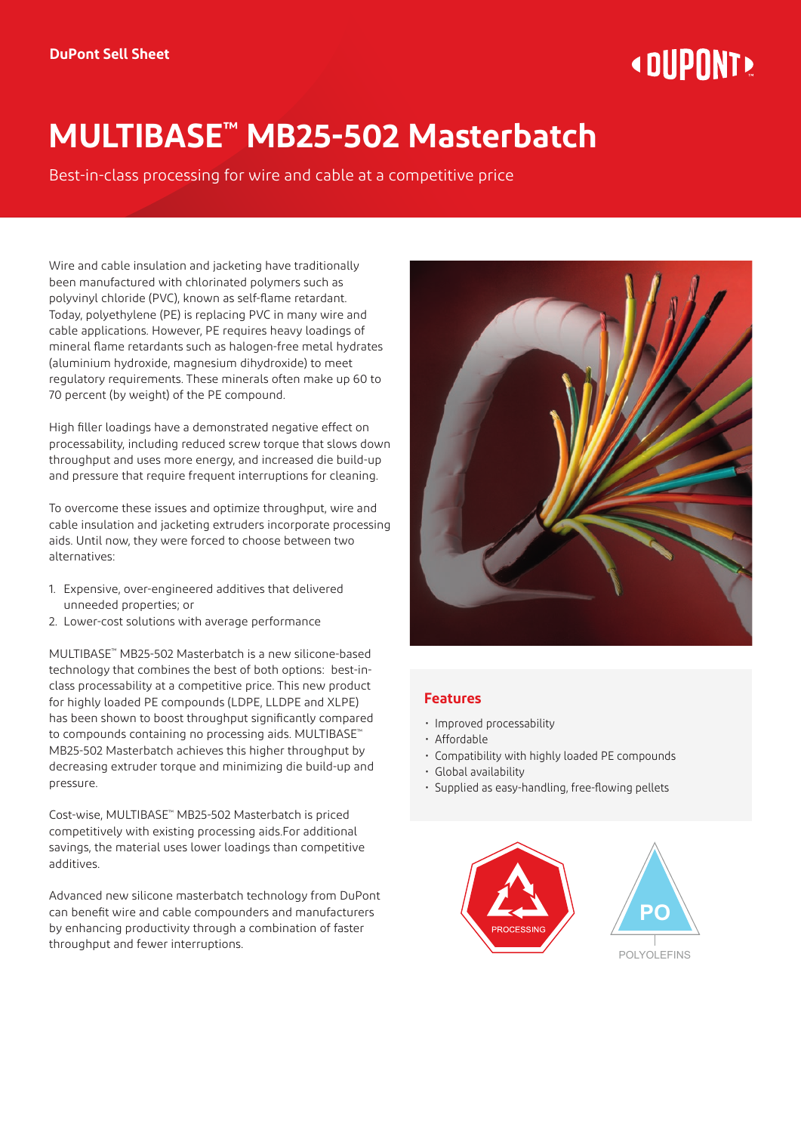# **« DIIPNNT!**

# **MULTIBASE™ MB25-502 Masterbatch**

Best-in-class processing for wire and cable at a competitive price

Wire and cable insulation and jacketing have traditionally been manufactured with chlorinated polymers such as polyvinyl chloride (PVC), known as self-flame retardant. Today, polyethylene (PE) is replacing PVC in many wire and cable applications. However, PE requires heavy loadings of mineral flame retardants such as halogen-free metal hydrates (aluminium hydroxide, magnesium dihydroxide) to meet regulatory requirements. These minerals often make up 60 to 70 percent (by weight) of the PE compound.

High filler loadings have a demonstrated negative effect on processability, including reduced screw torque that slows down throughput and uses more energy, and increased die build-up and pressure that require frequent interruptions for cleaning.

To overcome these issues and optimize throughput, wire and cable insulation and jacketing extruders incorporate processing aids. Until now, they were forced to choose between two alternatives:

- 1. Expensive, over-engineered additives that delivered unneeded properties; or
- 2. Lower-cost solutions with average performance

MULTIBASE™ MB25-502 Masterbatch is a new silicone-based technology that combines the best of both options: best-inclass processability at a competitive price. This new product for highly loaded PE compounds (LDPE, LLDPE and XLPE) has been shown to boost throughput significantly compared to compounds containing no processing aids. MULTIBASE<sup>™</sup> MB25-502 Masterbatch achieves this higher throughput by decreasing extruder torque and minimizing die build-up and pressure.

Cost-wise, MULTIBASE™ MB25-502 Masterbatch is priced competitively with existing processing aids.For additional savings, the material uses lower loadings than competitive additives.

Advanced new silicone masterbatch technology from DuPont can benefit wire and cable compounders and manufacturers by enhancing productivity through a combination of faster throughput and fewer interruptions.



# **Features**

- Improved processability
- Affordable
- Compatibility with highly loaded PE compounds
- Global availability
- Supplied as easy-handling, free-flowing pellets